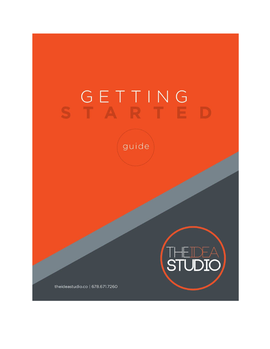# STARTE

guide



theideastudio.co | 678.671.7260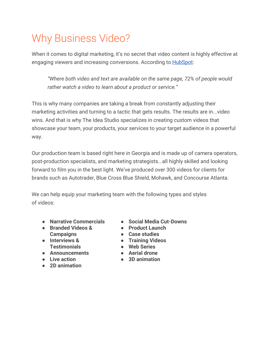### Why Business Video?

When it comes to digital marketing, it's no secret that video content is highly effective at engaging viewers and increasing conversions. According to **[HubSpot](https://blog.hubspot.com/marketing/state-of-video-marketing-new-data):** 

*"Where both video and text are available on the same page, 72% of people would rather watch a video to learn about a product or service."*

This is why many companies are taking a break from constantly adjusting their marketing activities and turning to a tactic that gets results. The results are in...video wins. And that is why The Idea Studio specializes in creating custom videos that showcase your team, your products, your services to your target audience in a powerful way.

Our production team is based right here in Georgia and is made up of camera operators, post-production specialists, and marketing strategists...all highly skilled and looking forward to film you in the best light. We've produced over 300 videos for clients for brands such as Autotrader, Blue Cross Blue Shield, Mohawk, and Concourse Atlanta.

We can help equip your marketing team with the following types and styles of videos:

- **● Narrative Commercials**
- **● Branded Videos & Campaigns**
- **● Interviews & Testimonials**
- **● Announcements**
- **● Live action**
- **● 2D animation**
- **● Social Media Cut-Downs**
- **● Product Launch**
- **● Case studies**
- **● Training Videos**
	- **● Web Series**
- **● Aerial drone**
	- **● 3D animation**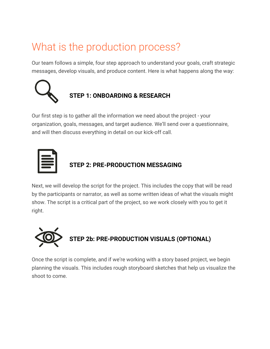### What is the production process?

Our team follows a simple, four step approach to understand your goals, craft strategic messages, develop visuals, and produce content. Here is what happens along the way:



#### **STEP 1: ONBOARDING & RESEARCH**

Our first step is to gather all the information we need about the project - your organization, goals, messages, and target audience. We'll send over a questionnaire, and will then discuss everything in detail on our kick-off call.



# **STEP 2: PRE-PRODUCTION MESSAGING**

Next, we will develop the script for the project. This includes the copy that will be read by the participants or narrator, as well as some written ideas of what the visuals might show. The script is a critical part of the project, so we work closely with you to get it right.



Once the script is complete, and if we're working with a story based project, we begin planning the visuals. This includes rough storyboard sketches that help us visualize the shoot to come.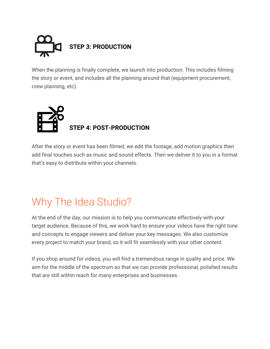

When the planning is finally complete, we launch into production. This includes filming the story or event, and includes all the planning around that (equipment procurement, crew planning, etc).



After the story or event has been filmed, we edit the footage, add motion graphics then add final touches such as music and sound effects. Then we deliver it to you in a format that's easy to distribute within your channels.

### Why The Idea Studio?

At the end of the day, our mission is to help you communicate effectively with your target audience. Because of this, we work hard to ensure your videos have the right tone and concepts to engage viewers and deliver your key messages. We also customize every project to match your brand, so it will fit seamlessly with your other content.

If you shop around for videos, you will find a tremendous range in quality and price. We aim for the middle of the spectrum so that we can provide professional, polished results that are still within reach for many enterprises and businesses.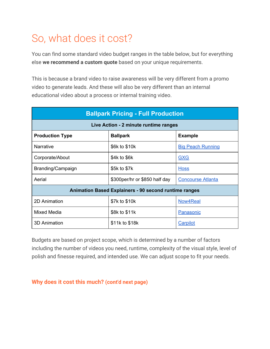### So, what does it cost?

You can find some standard video budget ranges in the table below, but for everything else **we recommend a custom quote** based on your unique requirements.

This is because a brand video to raise awareness will be very different from a promo video to generate leads. And these will also be very different than an internal educational video about a process or internal training video.

| <b>Ballpark Pricing - Full Production</b>                    |                               |                          |
|--------------------------------------------------------------|-------------------------------|--------------------------|
| Live Action - 2 minute runtime ranges                        |                               |                          |
| <b>Production Type</b>                                       | <b>Ballpark</b>               | <b>Example</b>           |
| <b>Narrative</b>                                             | \$6k to \$10k                 | <b>Big Peach Running</b> |
| Corporate/About                                              | \$4k to \$6k                  | <b>GXG</b>               |
| Branding/Campaign                                            | \$5k to \$7k                  | <b>Hoss</b>              |
| Aerial                                                       | \$300per/hr or \$850 half day | <b>Concourse Atlanta</b> |
| <b>Animation Based Explainers - 90 second runtime ranges</b> |                               |                          |
| 2D Animation                                                 | \$7k to \$10k                 | Now4Real                 |
| Mixed Media                                                  | \$8k to \$11k                 | Panasonic                |
| <b>3D Animation</b>                                          | \$11k to \$18k                | <b>Carpilot</b>          |

Budgets are based on project scope, which is determined by a number of factors including the number of videos you need, runtime, complexity of the visual style, level of polish and finesse required, and intended use. We can adjust scope to fit your needs.

**Why does it cost this much? (cont'd next page)**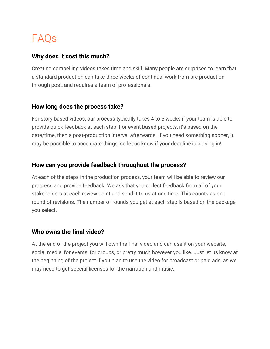### FAQs

#### **Why does it cost this much?**

Creating compelling videos takes time and skill. Many people are surprised to learn that a standard production can take three weeks of continual work from pre production through post, and requires a team of professionals.

#### **How long does the process take?**

For story based videos, our process typically takes 4 to 5 weeks if your team is able to provide quick feedback at each step. For event based projects, it's based on the date/time, then a post-production interval afterwards. If you need something sooner, it may be possible to accelerate things, so let us know if your deadline is closing in!

#### **How can you provide feedback throughout the process?**

At each of the steps in the production process, your team will be able to review our progress and provide feedback. We ask that you collect feedback from all of your stakeholders at each review point and send it to us at one time. This counts as one round of revisions. The number of rounds you get at each step is based on the package you select.

#### **Who owns the final video?**

At the end of the project you will own the final video and can use it on your website, social media, for events, for groups, or pretty much however you like. Just let us know at the beginning of the project if you plan to use the video for broadcast or paid ads, as we may need to get special licenses for the narration and music.